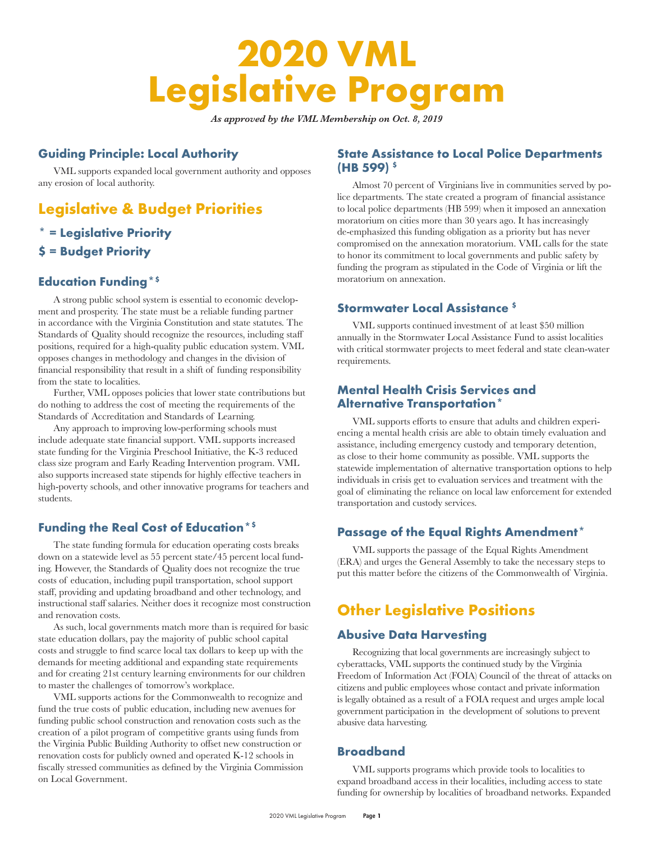# **2020 VML Legislative Program**

*As approved by the VML Membership on Oct. 8, 2019*

# **Guiding Principle: Local Authority**

VML supports expanded local government authority and opposes any erosion of local authority.

# **Legislative & Budget Priorities**

# **\* = Legislative Priority**

**\$ = Budget Priority**

# **Education Funding\*\$**

A strong public school system is essential to economic development and prosperity. The state must be a reliable funding partner in accordance with the Virginia Constitution and state statutes. The Standards of Quality should recognize the resources, including staff positions, required for a high-quality public education system. VML opposes changes in methodology and changes in the division of financial responsibility that result in a shift of funding responsibility from the state to localities.

Further, VML opposes policies that lower state contributions but do nothing to address the cost of meeting the requirements of the Standards of Accreditation and Standards of Learning.

Any approach to improving low-performing schools must include adequate state financial support. VML supports increased state funding for the Virginia Preschool Initiative, the K-3 reduced class size program and Early Reading Intervention program. VML also supports increased state stipends for highly effective teachers in high-poverty schools, and other innovative programs for teachers and students.

# **Funding the Real Cost of Education\*\$**

The state funding formula for education operating costs breaks down on a statewide level as 55 percent state/45 percent local funding. However, the Standards of Quality does not recognize the true costs of education, including pupil transportation, school support staff, providing and updating broadband and other technology, and instructional staff salaries. Neither does it recognize most construction and renovation costs.

As such, local governments match more than is required for basic state education dollars, pay the majority of public school capital costs and struggle to find scarce local tax dollars to keep up with the demands for meeting additional and expanding state requirements and for creating 21st century learning environments for our children to master the challenges of tomorrow's workplace.

VML supports actions for the Commonwealth to recognize and fund the true costs of public education, including new avenues for funding public school construction and renovation costs such as the creation of a pilot program of competitive grants using funds from the Virginia Public Building Authority to offset new construction or renovation costs for publicly owned and operated K-12 schools in fiscally stressed communities as defined by the Virginia Commission on Local Government.

# **State Assistance to Local Police Departments (HB 599) \$**

Almost 70 percent of Virginians live in communities served by police departments. The state created a program of financial assistance to local police departments (HB 599) when it imposed an annexation moratorium on cities more than 30 years ago. It has increasingly de-emphasized this funding obligation as a priority but has never compromised on the annexation moratorium. VML calls for the state to honor its commitment to local governments and public safety by funding the program as stipulated in the Code of Virginia or lift the moratorium on annexation.

# **Stormwater Local Assistance \$**

VML supports continued investment of at least \$50 million annually in the Stormwater Local Assistance Fund to assist localities with critical stormwater projects to meet federal and state clean-water requirements.

# **Mental Health Crisis Services and Alternative Transportation\***

VML supports efforts to ensure that adults and children experiencing a mental health crisis are able to obtain timely evaluation and assistance, including emergency custody and temporary detention, as close to their home community as possible. VML supports the statewide implementation of alternative transportation options to help individuals in crisis get to evaluation services and treatment with the goal of eliminating the reliance on local law enforcement for extended transportation and custody services.

# **Passage of the Equal Rights Amendment\***

VML supports the passage of the Equal Rights Amendment (ERA) and urges the General Assembly to take the necessary steps to put this matter before the citizens of the Commonwealth of Virginia.

# **Other Legislative Positions**

# **Abusive Data Harvesting**

Recognizing that local governments are increasingly subject to cyberattacks, VML supports the continued study by the Virginia Freedom of Information Act (FOIA) Council of the threat of attacks on citizens and public employees whose contact and private information is legally obtained as a result of a FOIA request and urges ample local government participation in the development of solutions to prevent abusive data harvesting.

# **Broadband**

VML supports programs which provide tools to localities to expand broadband access in their localities, including access to state funding for ownership by localities of broadband networks. Expanded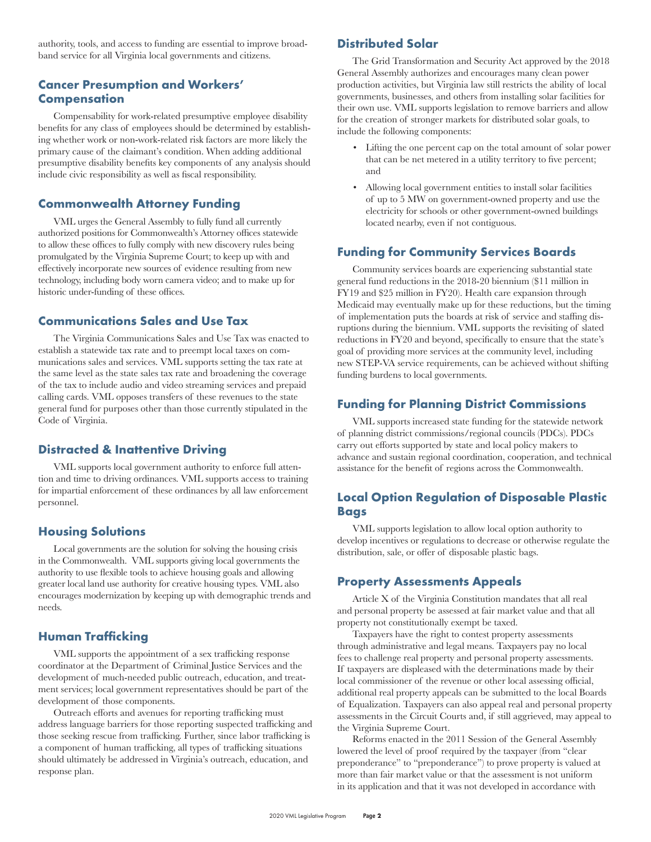authority, tools, and access to funding are essential to improve broadband service for all Virginia local governments and citizens.

# **Cancer Presumption and Workers' Compensation**

Compensability for work-related presumptive employee disability benefits for any class of employees should be determined by establishing whether work or non-work-related risk factors are more likely the primary cause of the claimant's condition. When adding additional presumptive disability benefits key components of any analysis should include civic responsibility as well as fiscal responsibility.

#### **Commonwealth Attorney Funding**

VML urges the General Assembly to fully fund all currently authorized positions for Commonwealth's Attorney offices statewide to allow these offices to fully comply with new discovery rules being promulgated by the Virginia Supreme Court; to keep up with and effectively incorporate new sources of evidence resulting from new technology, including body worn camera video; and to make up for historic under-funding of these offices.

#### **Communications Sales and Use Tax**

The Virginia Communications Sales and Use Tax was enacted to establish a statewide tax rate and to preempt local taxes on communications sales and services. VML supports setting the tax rate at the same level as the state sales tax rate and broadening the coverage of the tax to include audio and video streaming services and prepaid calling cards. VML opposes transfers of these revenues to the state general fund for purposes other than those currently stipulated in the Code of Virginia.

# **Distracted & Inattentive Driving**

VML supports local government authority to enforce full attention and time to driving ordinances. VML supports access to training for impartial enforcement of these ordinances by all law enforcement personnel.

### **Housing Solutions**

Local governments are the solution for solving the housing crisis in the Commonwealth. VML supports giving local governments the authority to use flexible tools to achieve housing goals and allowing greater local land use authority for creative housing types. VML also encourages modernization by keeping up with demographic trends and needs.

#### **Human Trafficking**

VML supports the appointment of a sex trafficking response coordinator at the Department of Criminal Justice Services and the development of much-needed public outreach, education, and treatment services; local government representatives should be part of the development of those components.

Outreach efforts and avenues for reporting trafficking must address language barriers for those reporting suspected trafficking and those seeking rescue from trafficking. Further, since labor trafficking is a component of human trafficking, all types of trafficking situations should ultimately be addressed in Virginia's outreach, education, and response plan.

# **Distributed Solar**

The Grid Transformation and Security Act approved by the 2018 General Assembly authorizes and encourages many clean power production activities, but Virginia law still restricts the ability of local governments, businesses, and others from installing solar facilities for their own use. VML supports legislation to remove barriers and allow for the creation of stronger markets for distributed solar goals, to include the following components:

- Lifting the one percent cap on the total amount of solar power that can be net metered in a utility territory to five percent; and
- Allowing local government entities to install solar facilities of up to 5 MW on government-owned property and use the electricity for schools or other government-owned buildings located nearby, even if not contiguous.

### **Funding for Community Services Boards**

Community services boards are experiencing substantial state general fund reductions in the 2018-20 biennium (\$11 million in FY19 and \$25 million in FY20). Health care expansion through Medicaid may eventually make up for these reductions, but the timing of implementation puts the boards at risk of service and staffing disruptions during the biennium. VML supports the revisiting of slated reductions in FY20 and beyond, specifically to ensure that the state's goal of providing more services at the community level, including new STEP-VA service requirements, can be achieved without shifting funding burdens to local governments.

#### **Funding for Planning District Commissions**

VML supports increased state funding for the statewide network of planning district commissions/regional councils (PDCs). PDCs carry out efforts supported by state and local policy makers to advance and sustain regional coordination, cooperation, and technical assistance for the benefit of regions across the Commonwealth.

# **Local Option Regulation of Disposable Plastic Bags**

VML supports legislation to allow local option authority to develop incentives or regulations to decrease or otherwise regulate the distribution, sale, or offer of disposable plastic bags.

#### **Property Assessments Appeals**

Article X of the Virginia Constitution mandates that all real and personal property be assessed at fair market value and that all property not constitutionally exempt be taxed.

Taxpayers have the right to contest property assessments through administrative and legal means. Taxpayers pay no local fees to challenge real property and personal property assessments. If taxpayers are displeased with the determinations made by their local commissioner of the revenue or other local assessing official, additional real property appeals can be submitted to the local Boards of Equalization. Taxpayers can also appeal real and personal property assessments in the Circuit Courts and, if still aggrieved, may appeal to the Virginia Supreme Court.

Reforms enacted in the 2011 Session of the General Assembly lowered the level of proof required by the taxpayer (from "clear preponderance" to "preponderance") to prove property is valued at more than fair market value or that the assessment is not uniform in its application and that it was not developed in accordance with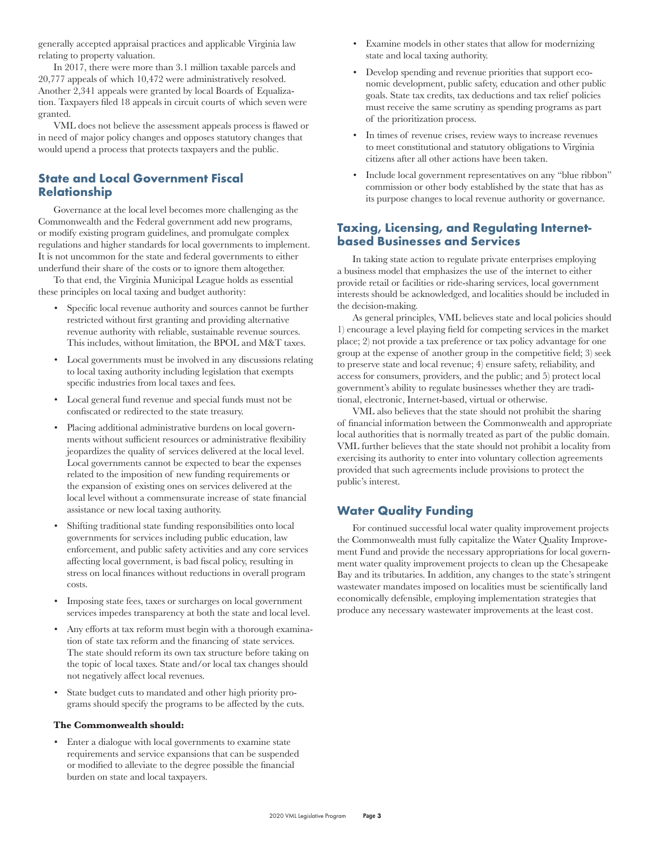generally accepted appraisal practices and applicable Virginia law relating to property valuation.

In 2017, there were more than 3.1 million taxable parcels and 20,777 appeals of which 10,472 were administratively resolved. Another 2,341 appeals were granted by local Boards of Equalization. Taxpayers filed 18 appeals in circuit courts of which seven were granted.

VML does not believe the assessment appeals process is flawed or in need of major policy changes and opposes statutory changes that would upend a process that protects taxpayers and the public.

# **State and Local Government Fiscal Relationship**

Governance at the local level becomes more challenging as the Commonwealth and the Federal government add new programs, or modify existing program guidelines, and promulgate complex regulations and higher standards for local governments to implement. It is not uncommon for the state and federal governments to either underfund their share of the costs or to ignore them altogether.

To that end, the Virginia Municipal League holds as essential these principles on local taxing and budget authority:

- Specific local revenue authority and sources cannot be further restricted without first granting and providing alternative revenue authority with reliable, sustainable revenue sources. This includes, without limitation, the BPOL and M&T taxes.
- Local governments must be involved in any discussions relating to local taxing authority including legislation that exempts specific industries from local taxes and fees.
- Local general fund revenue and special funds must not be confiscated or redirected to the state treasury.
- Placing additional administrative burdens on local governments without sufficient resources or administrative flexibility jeopardizes the quality of services delivered at the local level. Local governments cannot be expected to bear the expenses related to the imposition of new funding requirements or the expansion of existing ones on services delivered at the local level without a commensurate increase of state financial assistance or new local taxing authority.
- Shifting traditional state funding responsibilities onto local governments for services including public education, law enforcement, and public safety activities and any core services affecting local government, is bad fiscal policy, resulting in stress on local finances without reductions in overall program costs.
- Imposing state fees, taxes or surcharges on local government services impedes transparency at both the state and local level.
- Any efforts at tax reform must begin with a thorough examination of state tax reform and the financing of state services. The state should reform its own tax structure before taking on the topic of local taxes. State and/or local tax changes should not negatively affect local revenues.
- State budget cuts to mandated and other high priority programs should specify the programs to be affected by the cuts.

#### **The Commonwealth should:**

• Enter a dialogue with local governments to examine state requirements and service expansions that can be suspended or modified to alleviate to the degree possible the financial burden on state and local taxpayers.

- Examine models in other states that allow for modernizing state and local taxing authority.
- Develop spending and revenue priorities that support economic development, public safety, education and other public goals. State tax credits, tax deductions and tax relief policies must receive the same scrutiny as spending programs as part of the prioritization process.
- In times of revenue crises, review ways to increase revenues to meet constitutional and statutory obligations to Virginia citizens after all other actions have been taken.
- Include local government representatives on any "blue ribbon" commission or other body established by the state that has as its purpose changes to local revenue authority or governance.

#### **Taxing, Licensing, and Regulating Internetbased Businesses and Services**

In taking state action to regulate private enterprises employing a business model that emphasizes the use of the internet to either provide retail or facilities or ride-sharing services, local government interests should be acknowledged, and localities should be included in the decision-making.

As general principles, VML believes state and local policies should 1) encourage a level playing field for competing services in the market place; 2) not provide a tax preference or tax policy advantage for one group at the expense of another group in the competitive field; 3) seek to preserve state and local revenue; 4) ensure safety, reliability, and access for consumers, providers, and the public; and 5) protect local government's ability to regulate businesses whether they are traditional, electronic, Internet-based, virtual or otherwise.

VML also believes that the state should not prohibit the sharing of financial information between the Commonwealth and appropriate local authorities that is normally treated as part of the public domain. VML further believes that the state should not prohibit a locality from exercising its authority to enter into voluntary collection agreements provided that such agreements include provisions to protect the public's interest.

### **Water Quality Funding**

For continued successful local water quality improvement projects the Commonwealth must fully capitalize the Water Quality Improvement Fund and provide the necessary appropriations for local government water quality improvement projects to clean up the Chesapeake Bay and its tributaries. In addition, any changes to the state's stringent wastewater mandates imposed on localities must be scientifically land economically defensible, employing implementation strategies that produce any necessary wastewater improvements at the least cost.